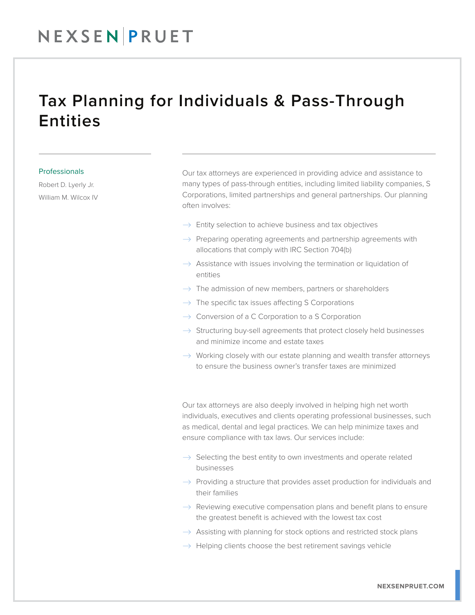## NEXSENPRUET

## Tax Planning for Individuals & Pass-Through **Entities**

### Professionals

Robert D. Lyerly Jr. William M. Wilcox IV Our tax attorneys are experienced in providing advice and assistance to many types of pass-through entities, including limited liability companies, S Corporations, limited partnerships and general partnerships. Our planning often involves:

- $\rightarrow$  Entity selection to achieve business and tax objectives
- $\rightarrow$  Preparing operating agreements and partnership agreements with allocations that comply with IRC Section 704(b)
- $\rightarrow$  Assistance with issues involving the termination or liquidation of entities
- $\rightarrow$  The admission of new members, partners or shareholders
- $\rightarrow$  The specific tax issues affecting S Corporations
- $\rightarrow$  Conversion of a C Corporation to a S Corporation
- $\rightarrow$  Structuring buy-sell agreements that protect closely held businesses and minimize income and estate taxes
- $\rightarrow$  Working closely with our estate planning and wealth transfer attorneys to ensure the business owner's transfer taxes are minimized

Our tax attorneys are also deeply involved in helping high net worth individuals, executives and clients operating professional businesses, such as medical, dental and legal practices. We can help minimize taxes and ensure compliance with tax laws. Our services include:

- $\rightarrow$  Selecting the best entity to own investments and operate related businesses
- $\rightarrow$  Providing a structure that provides asset production for individuals and their families
- $\rightarrow$  Reviewing executive compensation plans and benefit plans to ensure the greatest benefit is achieved with the lowest tax cost
- $\rightarrow$  Assisting with planning for stock options and restricted stock plans
- $\rightarrow$  Helping clients choose the best retirement savings vehicle